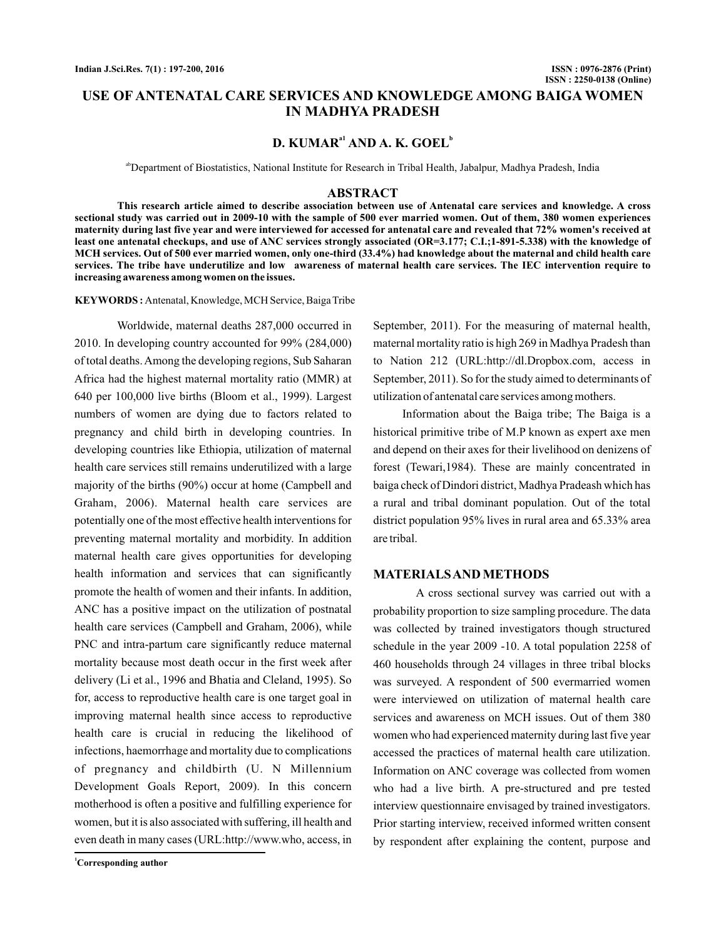# **USE OF ANTENATAL CARE SERVICES AND KNOWLEDGE AMONG BAIGA WOMEN IN MADHYA PRADESH**

# **D. KUMAR<sup>a1</sup> AND A. K. GOEL<sup>b</sup>**

abDepartment of Biostatistics, National Institute for Research in Tribal Health, Jabalpur, Madhya Pradesh, India

#### **ABSTRACT**

**This research article aimed to describe association between use of Antenatal care services and knowledge. A cross sectional study was carried out in 2009-10 with the sample of 500 ever married women. Out of them, 380 women experiences maternity during last five year and were interviewed for accessed for antenatal care and revealed that 72% women's received at least one antenatal checkups, and use of ANC services strongly associated (OR=3.177; C.I.;1-891-5.338) with the knowledge of MCH services. Out of 500 ever married women, only one-third (33.4%) had knowledge about the maternal and child health care services. The tribe have underutilize and low awareness of maternal health care services. The IEC intervention require to increasing awareness among women on the issues.**

KEYWORDS: Antenatal, Knowledge, MCH Service, Baiga Tribe

Worldwide, maternal deaths 287,000 occurred in 2010. In developing country accounted for 99% (284,000) of total deaths.Among the developing regions, Sub Saharan Africa had the highest maternal mortality ratio (MMR) at 640 per 100,000 live births (Bloom et al., 1999). Largest numbers of women are dying due to factors related to pregnancy and child birth in developing countries. In developing countries like Ethiopia, utilization of maternal health care services still remains underutilized with a large majority of the births (90%) occur at home (Campbell and Graham, 2006). Maternal health care services are potentially one of the most effective health interventions for preventing maternal mortality and morbidity. In addition maternal health care gives opportunities for developing health information and services that can significantly promote the health of women and their infants. In addition, ANC has a positive impact on the utilization of postnatal health care services (Campbell and Graham, 2006), while PNC and intra-partum care significantly reduce maternal mortality because most death occur in the first week after delivery (Li et al., 1996 and Bhatia and Cleland, 1995). So for, access to reproductive health care is one target goal in improving maternal health since access to reproductive health care is crucial in reducing the likelihood of infections, haemorrhage and mortality due to complications of pregnancy and childbirth (U. N Millennium Development Goals Report, 2009). In this concern motherhood is often a positive and fulfilling experience for women, but it is also associated with suffering, ill health and even death in many cases (URL:http://www.who, access, in

**<sup>1</sup>Corresponding author**

September, 2011). For the measuring of maternal health, maternal mortality ratio is high 269 in Madhya Pradesh than to Nation 212 (URL:http://dl.Dropbox.com, access in September, 2011). So for the study aimed to determinants of utilization of antenatal care services among mothers.

Information about the Baiga tribe; The Baiga is a historical primitive tribe of M.P known as expert axe men and depend on their axes for their livelihood on denizens of forest (Tewari,1984). These are mainly concentrated in baiga check of Dindori district, Madhya Pradeash which has a rural and tribal dominant population. Out of the total district population 95% lives in rural area and 65.33% area are tribal.

### **MATERIALSAND METHODS**

A cross sectional survey was carried out with a probability proportion to size sampling procedure. The data was collected by trained investigators though structured schedule in the year 2009 -10. A total population 2258 of 460 households through 24 villages in three tribal blocks was surveyed. A respondent of 500 evermarried women were interviewed on utilization of maternal health care services and awareness on MCH issues. Out of them 380 women who had experienced maternity during last five year accessed the practices of maternal health care utilization. Information on ANC coverage was collected from women who had a live birth. A pre-structured and pre tested interview questionnaire envisaged by trained investigators. Prior starting interview, received informed written consent by respondent after explaining the content, purpose and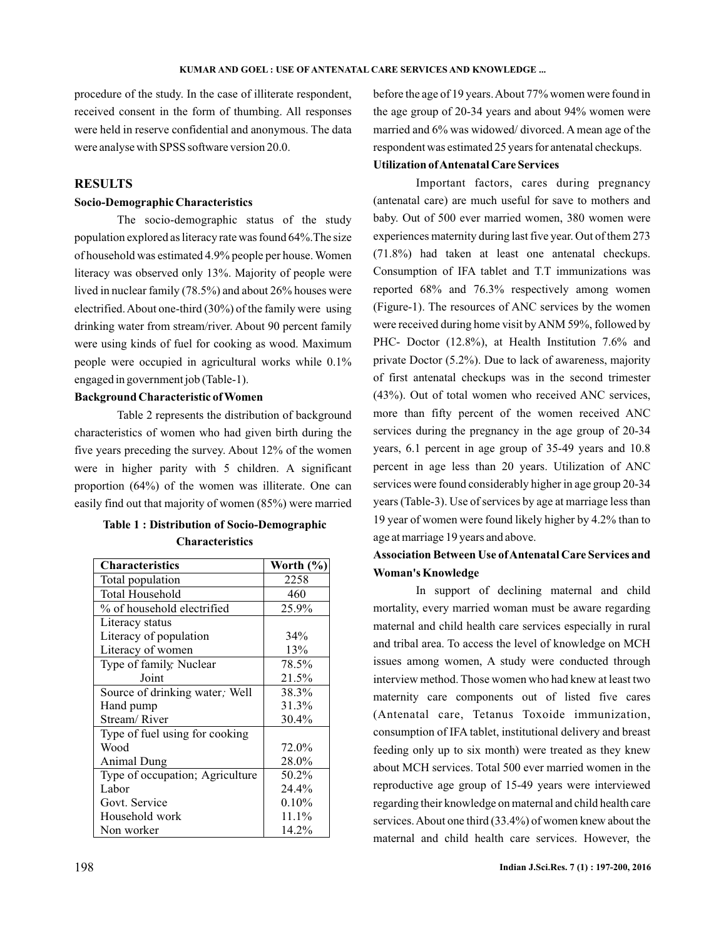procedure of the study. In the case of illiterate respondent, received consent in the form of thumbing. All responses were held in reserve confidential and anonymous. The data were analyse with SPSS software version 20.0.

# **RESULTS**

### **Socio-Demographic Characteristics**

The socio-demographic status of the study population explored as literacy rate was found 64%.The size of household was estimated 4.9% people per house. Women literacy was observed only 13%. Majority of people were lived in nuclear family (78.5%) and about 26% houses were electrified.About one-third (30%) of the family were using drinking water from stream/river. About 90 percent family were using kinds of fuel for cooking as wood. Maximum people were occupied in agricultural works while 0.1% engaged in government job (Table-1).

### **Background Characteristic of Women**

Table 2 represents the distribution of background characteristics of women who had given birth during the five years preceding the survey. About 12% of the women were in higher parity with 5 children. A significant proportion (64%) of the women was illiterate. One can easily find out that majority of women (85%) were married

| <b>Table 1: Distribution of Socio-Demographic</b> |
|---------------------------------------------------|
| <b>Characteristics</b>                            |

| <b>Characteristics</b>          | Worth (%) |
|---------------------------------|-----------|
| Total population                | 2258      |
| Total Household                 | 460       |
| % of household electrified      | 25.9%     |
| Literacy status                 |           |
| Literacy of population          | 34%       |
| Literacy of women               | 13%       |
| Type of family, Nuclear         | 78.5%     |
| Joint                           | 21.5%     |
| Source of drinking water; Well  | 38.3%     |
| Hand pump                       | 31.3%     |
| Stream/River                    | 30.4%     |
| Type of fuel using for cooking  |           |
| Wood                            | 72.0%     |
| <b>Animal Dung</b>              | 28.0%     |
| Type of occupation; Agriculture | 50.2%     |
| Labor                           | 24.4%     |
| Govt. Service                   | 0.10%     |
| Household work                  | 11.1%     |
| Non worker                      | 14.2%     |

before the age of 19 years.About 77% women were found in the age group of 20-34 years and about 94% women were married and 6% was widowed/ divorced. A mean age of the respondent was estimated 25 years for antenatal checkups.

#### **Utilization ofAntenatal Care Services**

Important factors, cares during pregnancy (antenatal care) are much useful for save to mothers and baby. Out of 500 ever married women, 380 women were experiences maternity during last five year. Out of them 273 (71.8%) had taken at least one antenatal checkups. Consumption of IFA tablet and T.T immunizations was reported 68% and 76.3% respectively among women (Figure-1). The resources of ANC services by the women were received during home visit byANM 59%, followed by PHC- Doctor (12.8%), at Health Institution 7.6% and private Doctor (5.2%). Due to lack of awareness, majority of first antenatal checkups was in the second trimester (43%). Out of total women who received ANC services, more than fifty percent of the women received ANC services during the pregnancy in the age group of 20-34 years, 6.1 percent in age group of 35-49 years and 10.8 percent in age less than 20 years. Utilization of ANC services were found considerably higher in age group 20-34 years (Table-3). Use of services by age at marriage less than 19 year of women were found likely higher by 4.2% than to age at marriage 19 years and above.

# **Association Between Use ofAntenatal Care Services and Woman's Knowledge**

In support of declining maternal and child mortality, every married woman must be aware regarding maternal and child health care services especially in rural and tribal area. To access the level of knowledge on MCH issues among women, A study were conducted through interview method. Those women who had knew at least two maternity care components out of listed five cares (Antenatal care, Tetanus Toxoide immunization, consumption of IFA tablet, institutional delivery and breast feeding only up to six month) were treated as they knew about MCH services. Total 500 ever married women in the reproductive age group of 15-49 years were interviewed regarding their knowledge on maternal and child health care services.About one third (33.4%) of women knew about the maternal and child health care services. However, the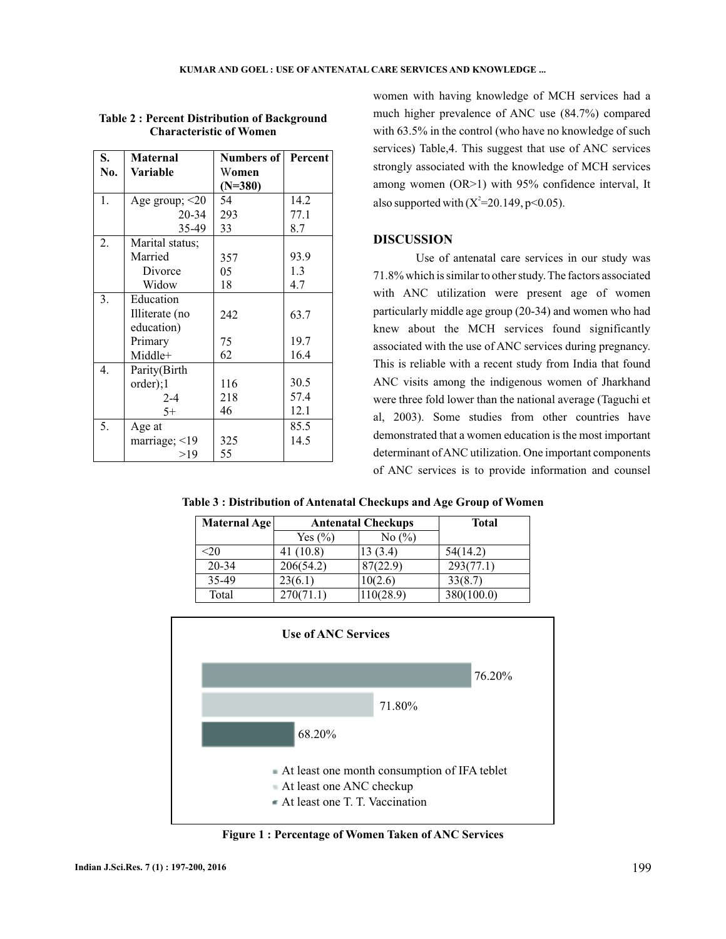| S.  | <b>Maternal</b>      | <b>Numbers of Percent</b> |      |
|-----|----------------------|---------------------------|------|
| No. | Variable             | Women                     |      |
|     |                      | $(N=380)$                 |      |
| 1.  | Age group; $\leq$ 20 | 54                        | 14.2 |
|     | 20-34                | 293                       | 77.1 |
|     | 35-49                | 33                        | 8.7  |
| 2.  | Marital status;      |                           |      |
|     | Married              | 357                       | 93.9 |
|     | Divorce              | 05                        | 1.3  |
|     | Widow                | 18                        | 4.7  |
| 3.  | Education            |                           |      |
|     | Illiterate (no       | 242                       | 63.7 |
|     | education)           |                           |      |
|     | Primary              | 75                        | 19.7 |
|     | Middle+              | 62                        | 16.4 |
| 4.  | Parity(Birth         |                           |      |
|     | order);1             | 116                       | 30.5 |
|     | $2 - 4$              | 218                       | 57.4 |
|     | $5+$                 | 46                        | 12.1 |
| 5.  | Age at               |                           | 85.5 |
|     | marriage; <19        | 325                       | 14.5 |
|     | >19                  | 55                        |      |

### **Table 2 : Percent Distribution of Background Characteristic of Women**

women with having knowledge of MCH services had a much higher prevalence of ANC use (84.7%) compared with 63.5% in the control (who have no knowledge of such services) Table,4. This suggest that use of ANC services strongly associated with the knowledge of MCH services among women (OR>1) with 95% confidence interval, It also supported with  $(X^2=20.149, p<0.05)$ .

## **DISCUSSION**

Use of antenatal care services in our study was 71.8% which is similar to other study. The factors associated with ANC utilization were present age of women particularly middle age group (20-34) and women who had knew about the MCH services found significantly associated with the use of ANC services during pregnancy. This is reliable with a recent study from India that found ANC visits among the indigenous women of Jharkhand were three fold lower than the national average (Taguchi et al, 2003). Some studies from other countries have demonstrated that a women education is the most important determinant ofANC utilization. One important components of ANC services is to provide information and counsel

**Table 3 : Distribution of Antenatal Checkups and Age Group of Women**

| Maternal Age | <b>Antenatal Checkups</b> | <b>Total</b>                  |            |
|--------------|---------------------------|-------------------------------|------------|
|              | Yes $(\% )$               | No $\left(\frac{0}{0}\right)$ |            |
| :20          | 41 (10.8)                 | 13 (3.4)                      | 54(14.2)   |
| 20-34        | 206(54.2)                 | 87(22.9)                      | 293(77.1)  |
| 35-49        | 23(6.1)                   | 10(2.6)                       | 33(8.7)    |
| Total        | 270(71.1)                 | 10(28.9)                      | 380(100.0) |



**Figure 1 : Percentage of Women Taken of ANC Services**